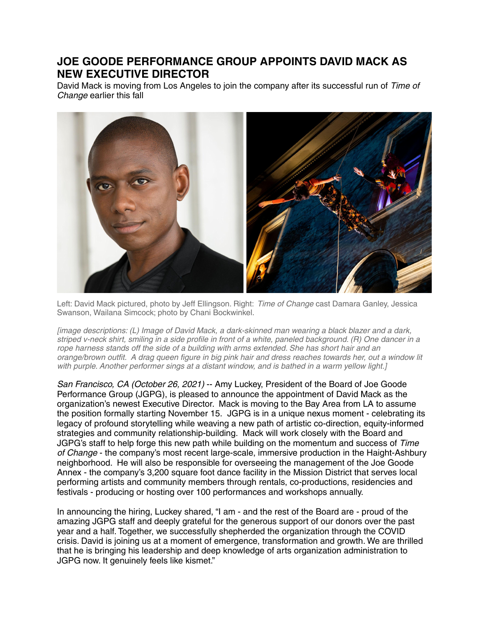## **JOE GOODE PERFORMANCE GROUP APPOINTS DAVID MACK AS NEW EXECUTIVE DIRECTOR**

David Mack is moving from Los Angeles to join the company after its successful run of Time of Change earlier this fall



Left: David Mack pictured, photo by Jeff Ellingson. Right: Time of Change cast Damara Ganley, Jessica Swanson, Wailana Simcock; photo by Chani Bockwinkel.

[image descriptions: (L) Image of David Mack, a dark-skinned man wearing a black blazer and a dark, striped v-neck shirt, smiling in a side profile in front of a white, paneled background. (R) One dancer in a rope harness stands off the side of a building with arms extended. She has short hair and an orange/brown outfit. A drag queen figure in big pink hair and dress reaches towards her, out a window lit with purple. Another performer sings at a distant window, and is bathed in a warm yellow light.]

San Francisco, CA (October 26, 2021) -- Amy Luckey, President of the Board of Joe Goode Performance Group (JGPG), is pleased to announce the appointment of David Mack as the organization's newest Executive Director. Mack is moving to the Bay Area from LA to assume the position formally starting November 15. JGPG is in a unique nexus moment - celebrating its legacy of profound storytelling while weaving a new path of artistic co-direction, equity-informed strategies and community relationship-building. Mack will work closely with the Board and JGPG's staff to help forge this new path while building on the momentum and success of Time of Change - the company's most recent large-scale, immersive production in the Haight-Ashbury neighborhood. He will also be responsible for overseeing the management of the Joe Goode Annex - the company's 3,200 square foot dance facility in the Mission District that serves local performing artists and community members through rentals, co-productions, residencies and festivals - producing or hosting over 100 performances and workshops annually.

In announcing the hiring, Luckey shared, "I am - and the rest of the Board are - proud of the amazing JGPG staff and deeply grateful for the generous support of our donors over the past year and a half. Together, we successfully shepherded the organization through the COVID crisis. David is joining us at a moment of emergence, transformation and growth. We are thrilled that he is bringing his leadership and deep knowledge of arts organization administration to JGPG now. It genuinely feels like kismet."